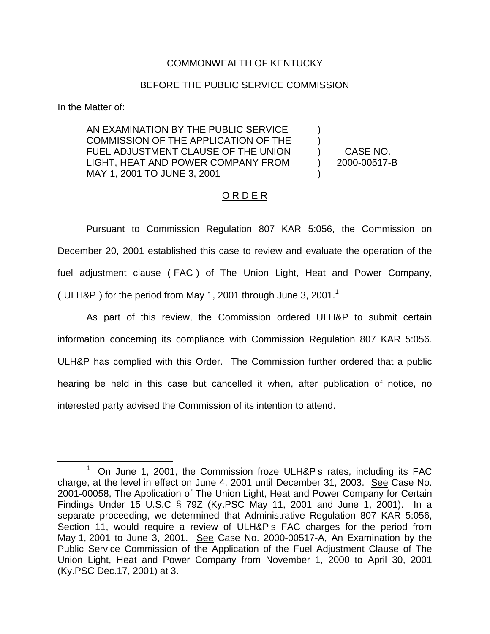## COMMONWEALTH OF KENTUCKY

## BEFORE THE PUBLIC SERVICE COMMISSION

In the Matter of:

AN EXAMINATION BY THE PUBLIC SERVICE COMMISSION OF THE APPLICATION OF THE FUEL ADJUSTMENT CLAUSE OF THE UNION LIGHT, HEAT AND POWER COMPANY FROM MAY 1, 2001 TO JUNE 3, 2001

) CASE NO. ) 2000-00517-B

) )

)

## O R D E R

Pursuant to Commission Regulation 807 KAR 5:056, the Commission on December 20, 2001 established this case to review and evaluate the operation of the fuel adjustment clause ( FAC ) of The Union Light, Heat and Power Company, ( ULH&P) for the period from May 1, 2001 through June 3, 2001.<sup>1</sup>

As part of this review, the Commission ordered ULH&P to submit certain information concerning its compliance with Commission Regulation 807 KAR 5:056. ULH&P has complied with this Order. The Commission further ordered that a public hearing be held in this case but cancelled it when, after publication of notice, no interested party advised the Commission of its intention to attend.

 $1$  On June 1, 2001, the Commission froze ULH&P s rates, including its FAC charge, at the level in effect on June 4, 2001 until December 31, 2003. See Case No. 2001-00058, The Application of The Union Light, Heat and Power Company for Certain Findings Under 15 U.S.C § 79Z (Ky.PSC May 11, 2001 and June 1, 2001). In a separate proceeding, we determined that Administrative Regulation 807 KAR 5:056, Section 11, would require a review of ULH&P s FAC charges for the period from May 1, 2001 to June 3, 2001. See Case No. 2000-00517-A, An Examination by the Public Service Commission of the Application of the Fuel Adjustment Clause of The Union Light, Heat and Power Company from November 1, 2000 to April 30, 2001 (Ky.PSC Dec.17, 2001) at 3.